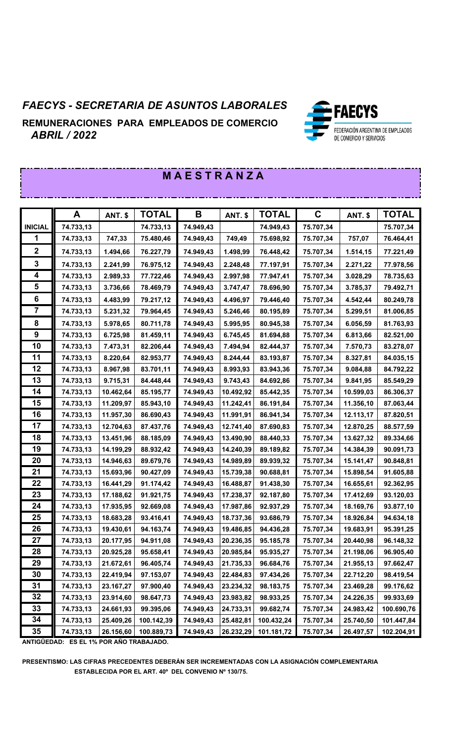# *FAECYS - SECRETARIA DE ASUNTOS LABORALES*

**REMUNERACIONES PARA EMPLEADOS DE COMERCIO**  *ABRIL / 2022*



#### **A ANT. \$ TOTAL B ANT. \$ TOTAL C ANT. \$ TOTAL INICIAL 74.733,13 74.733,13 74.949,43 74.949,43 75.707,34 75.707,34 74.733,13 747,33 75.480,46 74.949,43 749,49 75.698,92 75.707,34 757,07 76.464,41 74.733,13 1.494,66 76.227,79 74.949,43 1.498,99 76.448,42 75.707,34 1.514,15 77.221,49 74.733,13 2.241,99 76.975,12 74.949,43 2.248,48 77.197,91 75.707,34 2.271,22 77.978,56 74.733,13 2.989,33 77.722,46 74.949,43 2.997,98 77.947,41 75.707,34 3.028,29 78.735,63 74.733,13 3.736,66 78.469,79 74.949,43 3.747,47 78.696,90 75.707,34 3.785,37 79.492,71 74.733,13 4.483,99 79.217,12 74.949,43 4.496,97 79.446,40 75.707,34 4.542,44 80.249,78 74.733,13 5.231,32 79.964,45 74.949,43 5.246,46 80.195,89 75.707,34 5.299,51 81.006,85 74.733,13 5.978,65 80.711,78 74.949,43 5.995,95 80.945,38 75.707,34 6.056,59 81.763,93 74.733,13 6.725,98 81.459,11 74.949,43 6.745,45 81.694,88 75.707,34 6.813,66 82.521,00 74.733,13 7.473,31 82.206,44 74.949,43 7.494,94 82.444,37 75.707,34 7.570,73 83.278,07 74.733,13 8.220,64 82.953,77 74.949,43 8.244,44 83.193,87 75.707,34 8.327,81 84.035,15 74.733,13 8.967,98 83.701,11 74.949,43 8.993,93 83.943,36 75.707,34 9.084,88 84.792,22 74.733,13 9.715,31 84.448,44 74.949,43 9.743,43 84.692,86 75.707,34 9.841,95 85.549,29 74.733,13 10.462,64 85.195,77 74.949,43 10.492,92 85.442,35 75.707,34 10.599,03 86.306,37 74.733,13 11.209,97 85.943,10 74.949,43 11.242,41 86.191,84 75.707,34 11.356,10 87.063,44 74.733,13 11.957,30 86.690,43 74.949,43 11.991,91 86.941,34 75.707,34 12.113,17 87.820,51 74.733,13 12.704,63 87.437,76 74.949,43 12.741,40 87.690,83 75.707,34 12.870,25 88.577,59 74.733,13 13.451,96 88.185,09 74.949,43 13.490,90 88.440,33 75.707,34 13.627,32 89.334,66 74.733,13 14.199,29 88.932,42 74.949,43 14.240,39 89.189,82 75.707,34 14.384,39 90.091,73 74.733,13 14.946,63 89.679,76 74.949,43 14.989,89 89.939,32 75.707,34 15.141,47 90.848,81 74.733,13 15.693,96 90.427,09 74.949,43 15.739,38 90.688,81 75.707,34 15.898,54 91.605,88 74.733,13 16.441,29 91.174,42 74.949,43 16.488,87 91.438,30 75.707,34 16.655,61 92.362,95 74.733,13 17.188,62 91.921,75 74.949,43 17.238,37 92.187,80 75.707,34 17.412,69 93.120,03 74.733,13 17.935,95 92.669,08 74.949,43 17.987,86 92.937,29 75.707,34 18.169,76 93.877,10 74.733,13 18.683,28 93.416,41 74.949,43 18.737,36 93.686,79 75.707,34 18.926,84 94.634,18 74.733,13 19.430,61 94.163,74 74.949,43 19.486,85 94.436,28 75.707,34 19.683,91 95.391,25 74.733,13 20.177,95 94.911,08 74.949,43 20.236,35 95.185,78 75.707,34 20.440,98 96.148,32 74.733,13 20.925,28 95.658,41 74.949,43 20.985,84 95.935,27 75.707,34 21.198,06 96.905,40 74.733,13 21.672,61 96.405,74 74.949,43 21.735,33 96.684,76 75.707,34 21.955,13 97.662,47 74.733,13 22.419,94 97.153,07 74.949,43 22.484,83 97.434,26 75.707,34 22.712,20 98.419,54 74.733,13 23.167,27 97.900,40 74.949,43 23.234,32 98.183,75 75.707,34 23.469,28 99.176,62 74.733,13 23.914,60 98.647,73 74.949,43 23.983,82 98.933,25 75.707,34 24.226,35 99.933,69 74.733,13 24.661,93 99.395,06 74.949,43 24.733,31 99.682,74 75.707,34 24.983,42 100.690,76 74.733,13 25.409,26 100.142,39 74.949,43 25.482,81 100.432,24 75.707,34 25.740,50 101.447,84 74.733,13 26.156,60 100.889,73 74.949,43 26.232,29 101.181,72 75.707,34 26.497,57 102.204,91**

 **M A E S T R A N Z A** 

**ANTIGÜEDAD: ES EL 1% POR AÑO TRABAJADO.**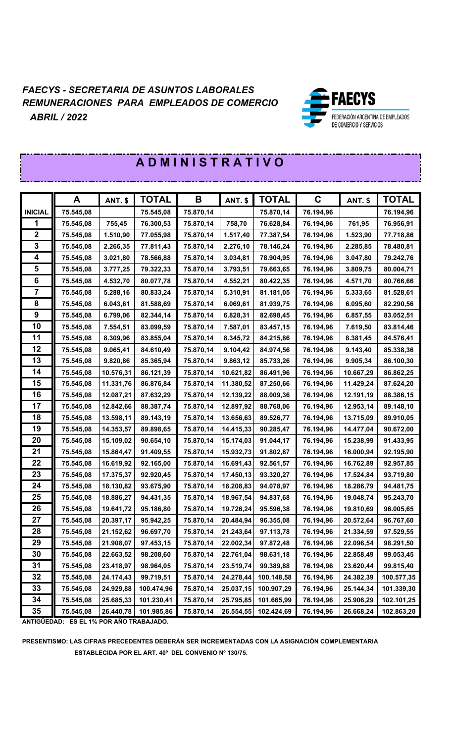

|                         | A         | <b>ANT. \$</b> | <b>TOTAL</b> | B         | <b>ANT. \$</b> | <b>TOTAL</b> | $\mathbf C$ | <b>ANT. \$</b> | <b>TOTAL</b> |
|-------------------------|-----------|----------------|--------------|-----------|----------------|--------------|-------------|----------------|--------------|
| <b>INICIAL</b>          | 75.545,08 |                | 75.545,08    | 75.870,14 |                | 75.870,14    | 76.194,96   |                | 76.194,96    |
|                         | 75.545,08 | 755,45         | 76.300,53    | 75.870,14 | 758,70         | 76.628,84    | 76.194,96   | 761,95         | 76.956,91    |
| $\mathbf{2}$            | 75.545,08 | 1.510,90       | 77.055,98    | 75.870,14 | 1.517,40       | 77.387,54    | 76.194,96   | 1.523,90       | 77.718,86    |
| 3                       | 75.545,08 | 2.266,35       | 77.811,43    | 75.870,14 | 2.276,10       | 78.146,24    | 76.194,96   | 2.285,85       | 78.480,81    |
| 4                       | 75.545,08 | 3.021,80       | 78.566,88    | 75.870,14 | 3.034,81       | 78.904,95    | 76.194,96   | 3.047,80       | 79.242,76    |
| 5                       | 75.545,08 | 3.777,25       | 79.322,33    | 75.870,14 | 3.793,51       | 79.663,65    | 76.194,96   | 3.809,75       | 80.004,71    |
| 6                       | 75.545,08 | 4.532,70       | 80.077,78    | 75.870,14 | 4.552,21       | 80.422,35    | 76.194,96   | 4.571,70       | 80.766,66    |
| $\overline{\mathbf{7}}$ | 75.545,08 | 5.288,16       | 80.833,24    | 75.870,14 | 5.310,91       | 81.181,05    | 76.194,96   | 5.333,65       | 81.528,61    |
| 8                       | 75.545,08 | 6.043,61       | 81.588,69    | 75.870,14 | 6.069,61       | 81.939,75    | 76.194,96   | 6.095,60       | 82.290,56    |
| 9                       | 75.545,08 | 6.799,06       | 82.344,14    | 75.870,14 | 6.828,31       | 82.698,45    | 76.194,96   | 6.857,55       | 83.052,51    |
| 10                      | 75.545,08 | 7.554,51       | 83.099,59    | 75.870,14 | 7.587,01       | 83.457,15    | 76.194,96   | 7.619,50       | 83.814,46    |
| 11                      | 75.545,08 | 8.309,96       | 83.855,04    | 75.870,14 | 8.345,72       | 84.215,86    | 76.194,96   | 8.381,45       | 84.576,41    |
| 12                      | 75.545,08 | 9.065,41       | 84.610,49    | 75.870,14 | 9.104,42       | 84.974,56    | 76.194,96   | 9.143,40       | 85.338,36    |
| 13                      | 75.545,08 | 9.820,86       | 85.365,94    | 75.870,14 | 9.863,12       | 85.733,26    | 76.194,96   | 9.905,34       | 86.100,30    |
| 14                      | 75.545,08 | 10.576,31      | 86.121,39    | 75.870,14 | 10.621,82      | 86.491,96    | 76.194,96   | 10.667,29      | 86.862,25    |
| 15                      | 75.545,08 | 11.331,76      | 86.876,84    | 75.870,14 | 11.380,52      | 87.250,66    | 76.194,96   | 11.429,24      | 87.624,20    |
| 16                      | 75.545,08 | 12.087,21      | 87.632,29    | 75.870,14 | 12.139,22      | 88.009,36    | 76.194,96   | 12.191,19      | 88.386,15    |
| 17                      | 75.545,08 | 12.842,66      | 88.387,74    | 75.870,14 | 12.897,92      | 88.768,06    | 76.194,96   | 12.953,14      | 89.148,10    |
| 18                      | 75.545,08 | 13.598,11      | 89.143,19    | 75.870,14 | 13.656,63      | 89.526,77    | 76.194,96   | 13.715,09      | 89.910,05    |
| 19                      | 75.545,08 | 14.353,57      | 89.898,65    | 75.870,14 | 14.415,33      | 90.285,47    | 76.194,96   | 14.477,04      | 90.672,00    |
| 20                      | 75.545,08 | 15.109,02      | 90.654,10    | 75.870,14 | 15.174,03      | 91.044,17    | 76.194,96   | 15.238,99      | 91.433,95    |
| 21                      | 75.545,08 | 15.864,47      | 91.409,55    | 75.870,14 | 15.932,73      | 91.802,87    | 76.194,96   | 16.000,94      | 92.195,90    |
| 22                      | 75.545,08 | 16.619,92      | 92.165,00    | 75.870,14 | 16.691,43      | 92.561,57    | 76.194,96   | 16.762,89      | 92.957,85    |
| 23                      | 75.545,08 | 17.375,37      | 92.920,45    | 75.870,14 | 17.450,13      | 93.320,27    | 76.194,96   | 17.524,84      | 93.719,80    |
| 24                      | 75.545,08 | 18.130,82      | 93.675,90    | 75.870,14 | 18.208,83      | 94.078,97    | 76.194,96   | 18.286,79      | 94.481,75    |
| 25                      | 75.545,08 | 18.886,27      | 94.431,35    | 75.870,14 | 18.967,54      | 94.837,68    | 76.194,96   | 19.048,74      | 95.243,70    |
| 26                      | 75.545,08 | 19.641,72      | 95.186,80    | 75.870,14 | 19.726,24      | 95.596,38    | 76.194,96   | 19.810,69      | 96.005,65    |
| 27                      | 75.545,08 | 20.397,17      | 95.942,25    | 75.870,14 | 20.484,94      | 96.355,08    | 76.194,96   | 20.572,64      | 96.767,60    |
| 28                      | 75.545,08 | 21.152,62      | 96.697,70    | 75.870,14 | 21.243,64      | 97.113,78    | 76.194,96   | 21.334,59      | 97.529,55    |
| 29                      | 75.545,08 | 21.908,07      | 97.453,15    | 75.870,14 | 22.002,34      | 97.872,48    | 76.194,96   | 22.096,54      | 98.291,50    |
| 30                      | 75.545,08 | 22.663,52      | 98.208,60    | 75.870,14 | 22.761,04      | 98.631,18    | 76.194,96   | 22.858,49      | 99.053,45    |
| 31                      | 75.545,08 | 23.418,97      | 98.964,05    | 75.870,14 | 23.519,74      | 99.389,88    | 76.194,96   | 23.620,44      | 99.815,40    |
| 32                      | 75.545,08 | 24.174,43      | 99.719,51    | 75.870,14 | 24.278,44      | 100.148,58   | 76.194,96   | 24.382,39      | 100.577,35   |
| 33                      | 75.545,08 | 24.929,88      | 100.474,96   | 75.870,14 | 25.037,15      | 100.907,29   | 76.194,96   | 25.144,34      | 101.339,30   |
| 34                      | 75.545,08 | 25.685,33      | 101.230,41   | 75.870,14 | 25.795,85      | 101.665,99   | 76.194,96   | 25.906,29      | 102.101,25   |
| 35                      | 75.545,08 | 26.440,78      | 101.985,86   | 75.870,14 | 26.554,55      | 102.424,69   | 76.194,96   | 26.668,24      | 102.863,20   |

# **A D M I N I S T R A T I V O**

**ANTIGÜEDAD: ES EL 1% POR AÑO TRABAJADO.**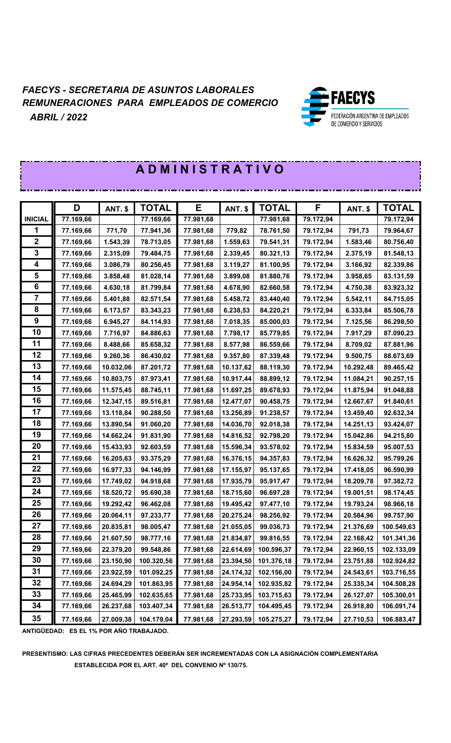

|                  | <b>ADMINISTRATIVO</b> |                |              |           |                |              |           |                |              |
|------------------|-----------------------|----------------|--------------|-----------|----------------|--------------|-----------|----------------|--------------|
|                  |                       |                |              |           |                |              |           |                |              |
|                  | D                     | <b>ANT. \$</b> | <b>TOTAL</b> | Е         | <b>ANT. \$</b> | <b>TOTAL</b> | F         | <b>ANT. \$</b> | <b>TOTAL</b> |
| <b>INICIAL</b>   | 77.169,66             |                | 77.169,66    | 77.981,68 |                | 77.981,68    | 79.172,94 |                | 79.172,94    |
| 1                | 77.169,66             | 771,70         | 77.941,36    | 77.981,68 | 779,82         | 78.761,50    | 79.172,94 | 791,73         | 79.964,67    |
| $\boldsymbol{2}$ | 77.169,66             | 1.543,39       | 78.713,05    | 77.981,68 | 1.559,63       | 79.541,31    | 79.172,94 | 1.583,46       | 80.756,40    |
| 3                | 77.169,66             | 2.315,09       | 79.484,75    | 77.981,68 | 2.339,45       | 80.321,13    | 79.172,94 | 2.375,19       | 81.548,13    |
| 4                | 77.169,66             | 3.086,79       | 80.256,45    | 77.981,68 | 3.119,27       | 81.100,95    | 79.172,94 | 3.166,92       | 82.339,86    |
| 5                | 77.169,66             | 3.858,48       | 81.028,14    | 77.981,68 | 3.899,08       | 81.880,76    | 79.172,94 | 3.958,65       | 83.131,59    |
| 6                | 77.169,66             | 4.630,18       | 81.799,84    | 77.981,68 | 4.678,90       | 82.660,58    | 79.172,94 | 4.750,38       | 83.923,32    |
| $\overline{7}$   | 77.169,66             | 5.401,88       | 82.571,54    | 77.981,68 | 5.458,72       | 83.440,40    | 79.172,94 | 5.542,11       | 84.715,05    |
| 8                | 77.169,66             | 6.173,57       | 83.343,23    | 77.981,68 | 6.238,53       | 84.220,21    | 79.172,94 | 6.333,84       | 85.506,78    |
| 9                | 77.169,66             | 6.945,27       | 84.114,93    | 77.981,68 | 7.018,35       | 85.000,03    | 79.172,94 | 7.125,56       | 86.298,50    |
| 10               | 77.169,66             | 7.716,97       | 84.886,63    | 77.981,68 | 7.798,17       | 85.779,85    | 79.172,94 | 7.917,29       | 87.090,23    |
| 11               | 77.169,66             | 8.488,66       | 85.658,32    | 77.981,68 | 8.577,98       | 86.559,66    | 79.172,94 | 8.709,02       | 87.881,96    |
| 12               | 77.169,66             | 9.260,36       | 86.430,02    | 77.981,68 | 9.357,80       | 87.339,48    | 79.172,94 | 9.500,75       | 88.673,69    |
| 13               | 77.169,66             | 10.032,06      | 87.201,72    | 77.981,68 | 10.137,62      | 88.119,30    | 79.172,94 | 10.292,48      | 89.465,42    |
| 14               | 77.169,66             | 10.803,75      | 87.973,41    | 77.981,68 | 10.917,44      | 88.899,12    | 79.172,94 | 11.084,21      | 90.257,15    |
| 15               | 77.169,66             | 11.575,45      | 88.745,11    | 77.981,68 | 11.697,25      | 89.678,93    | 79.172,94 | 11.875,94      | 91.048,88    |
| 16               | 77.169,66             | 12.347,15      | 89.516,81    | 77.981,68 | 12.477,07      | 90.458,75    | 79.172,94 | 12.667,67      | 91.840,61    |
| 17               | 77.169,66             | 13.118,84      | 90.288,50    | 77.981,68 | 13.256,89      | 91.238,57    | 79.172,94 | 13.459,40      | 92.632,34    |
| 18               | 77.169,66             | 13.890,54      | 91.060,20    | 77.981,68 | 14.036,70      | 92.018,38    | 79.172,94 | 14.251,13      | 93.424,07    |
| 19               | 77.169,66             | 14.662,24      | 91.831,90    | 77.981,68 | 14.816,52      | 92.798,20    | 79.172,94 | 15.042,86      | 94.215,80    |
| 20               | 77.169,66             | 15.433,93      | 92.603,59    | 77.981,68 | 15.596,34      | 93.578,02    | 79.172,94 | 15.834,59      | 95.007,53    |
| 21               | 77.169,66             | 16.205,63      | 93.375,29    | 77.981,68 | 16.376,15      | 94.357,83    | 79.172,94 | 16.626,32      | 95.799,26    |
| 22               | 77.169,66             | 16.977,33      | 94.146,99    | 77.981,68 | 17.155,97      | 95.137,65    | 79.172,94 | 17.418,05      | 96.590,99    |
| 23               | 77.169,66             | 17.749,02      | 94.918,68    | 77.981,68 | 17.935,79      | 95.917,47    | 79.172,94 | 18.209,78      | 97.382,72    |
| 24               | 77.169,66             | 18.520,72      | 95.690,38    | 77.981,68 | 18.715,60      | 96.697,28    | 79.172,94 | 19.001,51      | 98.174,45    |
| 25               | 77.169,66             | 19.292,42      | 96.462,08    | 77.981,68 | 19.495,42      | 97.477,10    | 79.172,94 | 19.793,24      | 98.966,18    |
| 26               | 77.169,66             | 20.064,11      | 97.233,77    | 77.981,68 | 20.275,24      | 98.256,92    | 79.172,94 | 20.584,96      | 99.757,90    |
| 27               | 77.169,66             | 20.835,81      | 98.005,47    | 77.981,68 | 21.055,05      | 99.036,73    | 79.172,94 | 21.376,69      | 100.549,63   |
| 28               | 77.169,66             | 21.607,50      | 98.777,16    | 77.981,68 | 21.834,87      | 99.816,55    | 79.172,94 | 22.168,42      | 101.341,36   |
| 29               | 77.169,66             | 22.379,20      | 99.548,86    | 77.981,68 | 22.614,69      | 100.596,37   | 79.172,94 | 22.960,15      | 102.133,09   |
| 30               | 77.169,66             | 23.150,90      | 100.320,56   | 77.981,68 | 23.394,50      | 101.376,18   | 79.172,94 | 23.751,88      | 102.924,82   |
| 31               | 77.169,66             | 23.922,59      | 101.092,25   | 77.981,68 | 24.174,32      | 102.156,00   | 79.172,94 | 24.543,61      | 103.716,55   |
| 32               | 77.169,66             | 24.694,29      | 101.863,95   | 77.981,68 | 24.954,14      | 102.935,82   | 79.172,94 | 25.335,34      | 104.508,28   |
| 33               | 77.169,66             | 25.465,99      | 102.635,65   | 77.981,68 | 25.733,95      | 103.715,63   | 79.172,94 | 26.127,07      | 105.300,01   |
| 34               | 77.169,66             | 26.237,68      | 103.407,34   | 77.981,68 | 26.513,77      | 104.495,45   | 79.172,94 | 26.918,80      | 106.091,74   |
| 35               | 77.169,66             | 27.009,38      | 104.179,04   | 77.981,68 | 27.293,59      | 105.275,27   | 79.172,94 | 27.710,53      | 106.883,47   |

**ANTIGÜEDAD: ES EL 1% POR AÑO TRABAJADO.**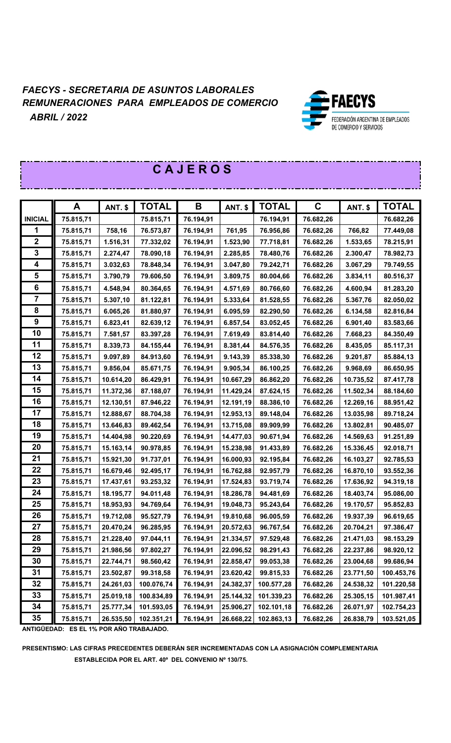

|                | A         | ANT. \$   | <b>TOTAL</b> | B         | <b>ANT. \$</b> | <b>TOTAL</b> | $\mathbf C$ | <b>ANT. \$</b> | <b>TOTAL</b> |
|----------------|-----------|-----------|--------------|-----------|----------------|--------------|-------------|----------------|--------------|
| <b>INICIAL</b> | 75.815,71 |           | 75.815,71    | 76.194,91 |                | 76.194,91    | 76.682,26   |                | 76.682,26    |
| 1              | 75.815,71 | 758,16    | 76.573,87    | 76.194,91 | 761,95         | 76.956,86    | 76.682,26   | 766,82         | 77.449,08    |
| $\mathbf 2$    | 75.815,71 | 1.516,31  | 77.332,02    | 76.194,91 | 1.523,90       | 77.718,81    | 76.682,26   | 1.533,65       | 78.215,91    |
| 3              | 75.815,71 | 2.274,47  | 78.090,18    | 76.194,91 | 2.285,85       | 78.480,76    | 76.682,26   | 2.300,47       | 78.982,73    |
| 4              | 75.815,71 | 3.032,63  | 78.848,34    | 76.194,91 | 3.047,80       | 79.242,71    | 76.682,26   | 3.067,29       | 79.749,55    |
| 5              | 75.815,71 | 3.790,79  | 79.606,50    | 76.194,91 | 3.809,75       | 80.004,66    | 76.682,26   | 3.834,11       | 80.516,37    |
| 6              | 75.815,71 | 4.548,94  | 80.364,65    | 76.194,91 | 4.571,69       | 80.766,60    | 76.682,26   | 4.600,94       | 81.283,20    |
| $\overline{7}$ | 75.815,71 | 5.307,10  | 81.122,81    | 76.194,91 | 5.333,64       | 81.528,55    | 76.682,26   | 5.367,76       | 82.050,02    |
| 8              | 75.815,71 | 6.065,26  | 81.880,97    | 76.194,91 | 6.095,59       | 82.290,50    | 76.682,26   | 6.134,58       | 82.816,84    |
| 9              | 75.815,71 | 6.823,41  | 82.639,12    | 76.194,91 | 6.857,54       | 83.052,45    | 76.682,26   | 6.901,40       | 83.583,66    |
| 10             | 75.815,71 | 7.581,57  | 83.397,28    | 76.194,91 | 7.619,49       | 83.814,40    | 76.682,26   | 7.668,23       | 84.350,49    |
| 11             | 75.815,71 | 8.339,73  | 84.155,44    | 76.194,91 | 8.381,44       | 84.576,35    | 76.682,26   | 8.435,05       | 85.117,31    |
| 12             | 75.815,71 | 9.097,89  | 84.913,60    | 76.194,91 | 9.143,39       | 85.338,30    | 76.682,26   | 9.201,87       | 85.884,13    |
| 13             | 75.815,71 | 9.856,04  | 85.671,75    | 76.194,91 | 9.905,34       | 86.100,25    | 76.682,26   | 9.968,69       | 86.650,95    |
| 14             | 75.815,71 | 10.614,20 | 86.429,91    | 76.194,91 | 10.667,29      | 86.862,20    | 76.682,26   | 10.735,52      | 87.417,78    |
| 15             | 75.815,71 | 11.372,36 | 87.188,07    | 76.194,91 | 11.429,24      | 87.624,15    | 76.682,26   | 11.502,34      | 88.184,60    |
| 16             | 75.815,71 | 12.130,51 | 87.946,22    | 76.194,91 | 12.191,19      | 88.386,10    | 76.682,26   | 12.269,16      | 88.951,42    |
| 17             | 75.815,71 | 12.888,67 | 88.704,38    | 76.194,91 | 12.953,13      | 89.148,04    | 76.682,26   | 13.035,98      | 89.718,24    |
| 18             | 75.815,71 | 13.646,83 | 89.462,54    | 76.194,91 | 13.715,08      | 89.909,99    | 76.682,26   | 13.802,81      | 90.485,07    |
| 19             | 75.815,71 | 14.404,98 | 90.220,69    | 76.194,91 | 14.477,03      | 90.671,94    | 76.682,26   | 14.569,63      | 91.251,89    |
| 20             | 75.815,71 | 15.163,14 | 90.978,85    | 76.194,91 | 15.238,98      | 91.433,89    | 76.682,26   | 15.336,45      | 92.018,71    |
| 21             | 75.815,71 | 15.921,30 | 91.737,01    | 76.194,91 | 16.000,93      | 92.195,84    | 76.682,26   | 16.103,27      | 92.785,53    |
| 22             | 75.815,71 | 16.679,46 | 92.495,17    | 76.194,91 | 16.762,88      | 92.957,79    | 76.682,26   | 16.870,10      | 93.552,36    |
| 23             | 75.815,71 | 17.437,61 | 93.253,32    | 76.194,91 | 17.524,83      | 93.719,74    | 76.682,26   | 17.636,92      | 94.319,18    |
| 24             | 75.815,71 | 18.195,77 | 94.011,48    | 76.194,91 | 18.286,78      | 94.481,69    | 76.682,26   | 18.403,74      | 95.086,00    |
| 25             | 75.815,71 | 18.953,93 | 94.769,64    | 76.194,91 | 19.048,73      | 95.243,64    | 76.682,26   | 19.170,57      | 95.852,83    |
| 26             | 75.815,71 | 19.712,08 | 95.527,79    | 76.194,91 | 19.810,68      | 96.005,59    | 76.682,26   | 19.937,39      | 96.619,65    |
| 27             | 75.815,71 | 20.470,24 | 96.285,95    | 76.194,91 | 20.572,63      | 96.767,54    | 76.682,26   | 20.704,21      | 97.386,47    |
| 28             | 75.815,71 | 21.228,40 | 97.044,11    | 76.194,91 | 21.334,57      | 97.529,48    | 76.682,26   | 21.471,03      | 98.153,29    |
| 29             | 75.815,71 | 21.986,56 | 97.802,27    | 76.194,91 | 22.096,52      | 98.291,43    | 76.682,26   | 22.237,86      | 98.920,12    |
| 30             | 75.815,71 | 22.744,71 | 98.560,42    | 76.194,91 | 22.858,47      | 99.053,38    | 76.682,26   | 23.004,68      | 99.686,94    |
| 31             | 75.815,71 | 23.502,87 | 99.318,58    | 76.194,91 | 23.620,42      | 99.815,33    | 76.682,26   | 23.771,50      | 100.453,76   |
| 32             | 75.815,71 | 24.261,03 | 100.076,74   | 76.194,91 | 24.382,37      | 100.577,28   | 76.682,26   | 24.538,32      | 101.220,58   |
| 33             | 75.815,71 | 25.019,18 | 100.834,89   | 76.194,91 | 25.144,32      | 101.339,23   | 76.682,26   | 25.305,15      | 101.987,41   |
| 34             | 75.815,71 | 25.777,34 | 101.593,05   | 76.194,91 | 25.906,27      | 102.101,18   | 76.682,26   | 26.071,97      | 102.754,23   |
| 35             | 75.815,71 | 26.535,50 | 102.351,21   | 76.194,91 | 26.668,22      | 102.863,13   | 76.682,26   | 26.838,79      | 103.521,05   |

# **C A J E R O S**

**ANTIGÜEDAD: ES EL 1% POR AÑO TRABAJADO.**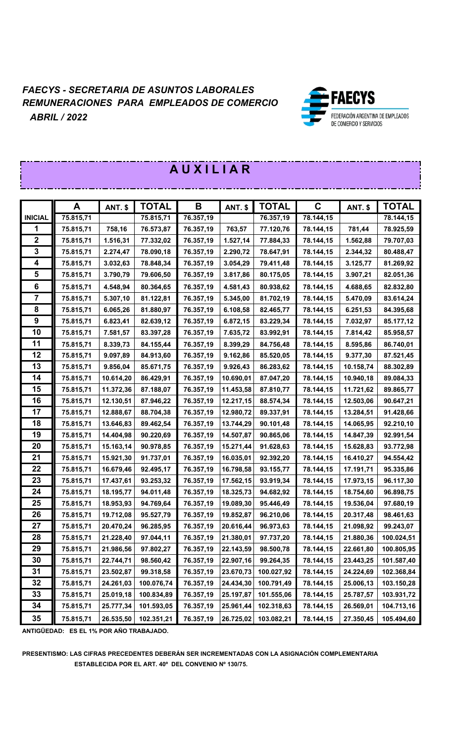

|                         | A         | <b>ANT. \$</b> | <b>TOTAL</b> | $\mathbf B$ | <b>ANT. \$</b> | <b>TOTAL</b> | $\mathbf C$ | <b>ANT. \$</b> | <b>TOTAL</b> |
|-------------------------|-----------|----------------|--------------|-------------|----------------|--------------|-------------|----------------|--------------|
| <b>INICIAL</b>          | 75.815,71 |                | 75.815,71    | 76.357,19   |                | 76.357,19    | 78.144,15   |                | 78.144,15    |
| 1                       | 75.815,71 | 758,16         | 76.573,87    | 76.357,19   | 763,57         | 77.120,76    | 78.144,15   | 781,44         | 78.925,59    |
| $\boldsymbol{2}$        | 75.815,71 | 1.516,31       | 77.332,02    | 76.357,19   | 1.527,14       | 77.884,33    | 78.144,15   | 1.562,88       | 79.707,03    |
| 3                       | 75.815,71 | 2.274,47       | 78.090,18    | 76.357,19   | 2.290,72       | 78.647,91    | 78.144,15   | 2.344,32       | 80.488,47    |
| 4                       | 75.815,71 | 3.032,63       | 78.848,34    | 76.357,19   | 3.054,29       | 79.411,48    | 78.144,15   | 3.125,77       | 81.269,92    |
| 5                       | 75.815,71 | 3.790,79       | 79.606,50    | 76.357,19   | 3.817,86       | 80.175,05    | 78.144,15   | 3.907,21       | 82.051,36    |
| 6                       | 75.815,71 | 4.548,94       | 80.364,65    | 76.357,19   | 4.581,43       | 80.938,62    | 78.144,15   | 4.688,65       | 82.832,80    |
| $\overline{\mathbf{7}}$ | 75.815,71 | 5.307,10       | 81.122,81    | 76.357,19   | 5.345,00       | 81.702,19    | 78.144,15   | 5.470,09       | 83.614,24    |
| 8                       | 75.815,71 | 6.065,26       | 81.880,97    | 76.357,19   | 6.108,58       | 82.465,77    | 78.144,15   | 6.251,53       | 84.395,68    |
| 9                       | 75.815,71 | 6.823,41       | 82.639,12    | 76.357,19   | 6.872,15       | 83.229,34    | 78.144,15   | 7.032,97       | 85.177,12    |
| 10                      | 75.815,71 | 7.581,57       | 83.397,28    | 76.357,19   | 7.635,72       | 83.992,91    | 78.144,15   | 7.814,42       | 85.958,57    |
| 11                      | 75.815,71 | 8.339,73       | 84.155,44    | 76.357,19   | 8.399,29       | 84.756,48    | 78.144,15   | 8.595,86       | 86.740,01    |
| 12                      | 75.815,71 | 9.097,89       | 84.913,60    | 76.357,19   | 9.162,86       | 85.520,05    | 78.144,15   | 9.377,30       | 87.521,45    |
| 13                      | 75.815,71 | 9.856,04       | 85.671,75    | 76.357,19   | 9.926,43       | 86.283,62    | 78.144,15   | 10.158,74      | 88.302,89    |
| 14                      | 75.815,71 | 10.614,20      | 86.429,91    | 76.357,19   | 10.690,01      | 87.047,20    | 78.144,15   | 10.940,18      | 89.084,33    |
| 15                      | 75.815,71 | 11.372,36      | 87.188,07    | 76.357,19   | 11.453,58      | 87.810,77    | 78.144,15   | 11.721,62      | 89.865,77    |
| 16                      | 75.815,71 | 12.130,51      | 87.946,22    | 76.357,19   | 12.217,15      | 88.574,34    | 78.144,15   | 12.503,06      | 90.647,21    |
| 17                      | 75.815,71 | 12.888,67      | 88.704,38    | 76.357,19   | 12.980,72      | 89.337,91    | 78.144,15   | 13.284,51      | 91.428,66    |
| 18                      | 75.815,71 | 13.646,83      | 89.462,54    | 76.357,19   | 13.744,29      | 90.101,48    | 78.144,15   | 14.065,95      | 92.210,10    |
| 19                      | 75.815,71 | 14.404,98      | 90.220,69    | 76.357,19   | 14.507,87      | 90.865,06    | 78.144,15   | 14.847,39      | 92.991,54    |
| 20                      | 75.815,71 | 15.163,14      | 90.978,85    | 76.357,19   | 15.271,44      | 91.628,63    | 78.144,15   | 15.628,83      | 93.772,98    |
| 21                      | 75.815,71 | 15.921,30      | 91.737,01    | 76.357,19   | 16.035,01      | 92.392,20    | 78.144,15   | 16.410,27      | 94.554,42    |
| 22                      | 75.815,71 | 16.679,46      | 92.495,17    | 76.357,19   | 16.798,58      | 93.155,77    | 78.144,15   | 17.191,71      | 95.335,86    |
| 23                      | 75.815,71 | 17.437,61      | 93.253,32    | 76.357,19   | 17.562,15      | 93.919,34    | 78.144,15   | 17.973,15      | 96.117,30    |
| 24                      | 75.815,71 | 18.195,77      | 94.011,48    | 76.357,19   | 18.325,73      | 94.682,92    | 78.144,15   | 18.754,60      | 96.898,75    |
| 25                      | 75.815,71 | 18.953,93      | 94.769,64    | 76.357,19   | 19.089,30      | 95.446,49    | 78.144,15   | 19.536,04      | 97.680,19    |
| 26                      | 75.815,71 | 19.712,08      | 95.527,79    | 76.357,19   | 19.852,87      | 96.210,06    | 78.144,15   | 20.317,48      | 98.461,63    |
| 27                      | 75.815,71 | 20.470,24      | 96.285,95    | 76.357,19   | 20.616,44      | 96.973,63    | 78.144,15   | 21.098,92      | 99.243,07    |
| 28                      | 75.815,71 | 21.228,40      | 97.044,11    | 76.357,19   | 21.380,01      | 97.737,20    | 78.144,15   | 21.880,36      | 100.024,51   |
| 29                      | 75.815,71 | 21.986,56      | 97.802,27    | 76.357,19   | 22.143,59      | 98.500,78    | 78.144,15   | 22.661,80      | 100.805,95   |
| 30                      | 75.815,71 | 22.744,71      | 98.560,42    | 76.357,19   | 22.907,16      | 99.264,35    | 78.144,15   | 23.443,25      | 101.587,40   |
| 31                      | 75.815,71 | 23.502,87      | 99.318,58    | 76.357,19   | 23.670,73      | 100.027,92   | 78.144,15   | 24.224,69      | 102.368,84   |
| 32                      | 75.815,71 | 24.261,03      | 100.076,74   | 76.357,19   | 24.434,30      | 100.791,49   | 78.144,15   | 25.006,13      | 103.150,28   |
| 33                      | 75.815,71 | 25.019,18      | 100.834,89   | 76.357,19   | 25.197,87      | 101.555,06   | 78.144,15   | 25.787,57      | 103.931,72   |
| 34                      | 75.815,71 | 25.777,34      | 101.593,05   | 76.357,19   | 25.961,44      | 102.318,63   | 78.144,15   | 26.569,01      | 104.713,16   |
| 35                      | 75.815,71 | 26.535,50      | 102.351,21   | 76.357,19   | 26.725,02      | 103.082,21   | 78.144,15   | 27.350,45      | 105.494,60   |

**EXAMPLE 2012 R A U X I LA R** 

**ANTIGÜEDAD: ES EL 1% POR AÑO TRABAJADO.**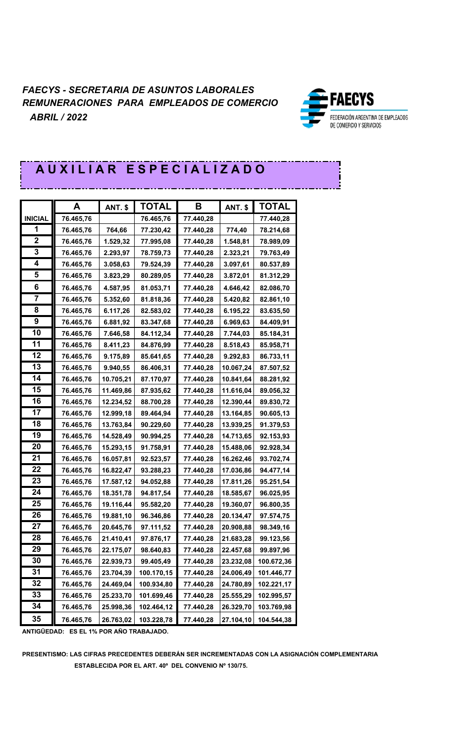

# **A U X I L I A R E S P E C I A L I Z A D O**

|                     | A         |                | <b>TOTAL</b> | В         |                | <b>TOTAL</b> |
|---------------------|-----------|----------------|--------------|-----------|----------------|--------------|
| <b>INICIAL</b>      |           | <b>ANT. \$</b> |              | 77.440,28 | <b>ANT. \$</b> |              |
|                     | 76.465,76 |                | 76.465,76    |           |                | 77.440,28    |
| 1<br>$\overline{2}$ | 76.465,76 | 764,66         | 77.230,42    | 77.440,28 | 774,40         | 78.214,68    |
|                     | 76.465,76 | 1.529,32       | 77.995,08    | 77.440,28 | 1.548,81       | 78.989,09    |
| 3                   | 76.465,76 | 2.293,97       | 78.759,73    | 77.440,28 | 2.323,21       | 79.763,49    |
| 4                   | 76.465,76 | 3.058,63       | 79.524,39    | 77.440,28 | 3.097,61       | 80.537,89    |
| 5                   | 76.465,76 | 3.823,29       | 80.289,05    | 77.440,28 | 3.872,01       | 81.312,29    |
| 6                   | 76.465,76 | 4.587,95       | 81.053,71    | 77.440,28 | 4.646,42       | 82.086,70    |
| 7                   | 76.465,76 | 5.352,60       | 81.818,36    | 77.440,28 | 5.420,82       | 82.861,10    |
| 8                   | 76.465,76 | 6.117,26       | 82.583,02    | 77.440,28 | 6.195,22       | 83.635,50    |
| 9                   | 76.465,76 | 6.881,92       | 83.347,68    | 77.440,28 | 6.969,63       | 84.409,91    |
| 10                  | 76.465,76 | 7.646,58       | 84.112,34    | 77.440,28 | 7.744,03       | 85.184,31    |
| 11                  | 76.465,76 | 8.411,23       | 84.876,99    | 77.440,28 | 8.518,43       | 85.958,71    |
| 12                  | 76.465,76 | 9.175,89       | 85.641,65    | 77.440,28 | 9.292,83       | 86.733,11    |
| 13                  | 76.465,76 | 9.940,55       | 86.406,31    | 77.440,28 | 10.067,24      | 87.507,52    |
| 14                  | 76.465,76 | 10.705,21      | 87.170,97    | 77.440,28 | 10.841,64      | 88.281,92    |
| 15                  | 76.465,76 | 11.469,86      | 87.935,62    | 77.440,28 | 11.616,04      | 89.056,32    |
| 16                  | 76.465,76 | 12.234,52      | 88.700,28    | 77.440,28 | 12.390,44      | 89.830,72    |
| 17                  | 76.465,76 | 12.999,18      | 89.464,94    | 77.440,28 | 13.164,85      | 90.605,13    |
| 18                  | 76.465,76 | 13.763,84      | 90.229,60    | 77.440,28 | 13.939,25      | 91.379,53    |
| 19                  | 76.465,76 | 14.528,49      | 90.994,25    | 77.440,28 | 14.713,65      | 92.153,93    |
| 20                  | 76.465,76 | 15.293,15      | 91.758,91    | 77.440,28 | 15.488,06      | 92.928,34    |
| 21                  | 76.465,76 | 16.057,81      | 92.523,57    | 77.440,28 | 16.262,46      | 93.702,74    |
| 22                  | 76.465,76 | 16.822,47      | 93.288,23    | 77.440,28 | 17.036,86      | 94.477,14    |
| 23                  | 76.465,76 | 17.587,12      | 94.052,88    | 77.440,28 | 17.811,26      | 95.251,54    |
| 24                  | 76.465,76 | 18.351,78      | 94.817,54    | 77.440,28 | 18.585,67      | 96.025,95    |
| 25                  | 76.465,76 | 19.116,44      | 95.582,20    | 77.440,28 | 19.360,07      | 96.800,35    |
| 26                  | 76.465,76 | 19.881,10      | 96.346,86    | 77.440,28 | 20.134,47      | 97.574,75    |
| 27                  | 76.465,76 | 20.645,76      | 97.111,52    | 77.440,28 | 20.908,88      | 98.349,16    |
| 28                  | 76.465,76 | 21.410,41      | 97.876,17    | 77.440,28 | 21.683,28      | 99.123,56    |
| 29                  | 76.465,76 | 22.175,07      | 98.640,83    | 77.440,28 | 22.457,68      | 99.897,96    |
| 30                  | 76.465,76 | 22.939,73      | 99.405,49    | 77.440,28 | 23.232,08      | 100.672,36   |
| 31                  | 76.465,76 | 23.704,39      | 100.170,15   | 77.440,28 | 24.006,49      | 101.446,77   |
| 32                  | 76.465,76 | 24.469,04      | 100.934,80   | 77.440,28 | 24.780,89      | 102.221,17   |
| 33                  | 76.465,76 | 25.233,70      | 101.699,46   | 77.440,28 | 25.555,29      | 102.995,57   |
| 34                  | 76.465,76 | 25.998,36      | 102.464,12   | 77.440,28 | 26.329,70      | 103.769,98   |
| 35                  | 76.465,76 | 26.763,02      | 103.228,78   | 77.440,28 | 27.104,10      | 104.544,38   |

**ANTIGÜEDAD: ES EL 1% POR AÑO TRABAJADO.**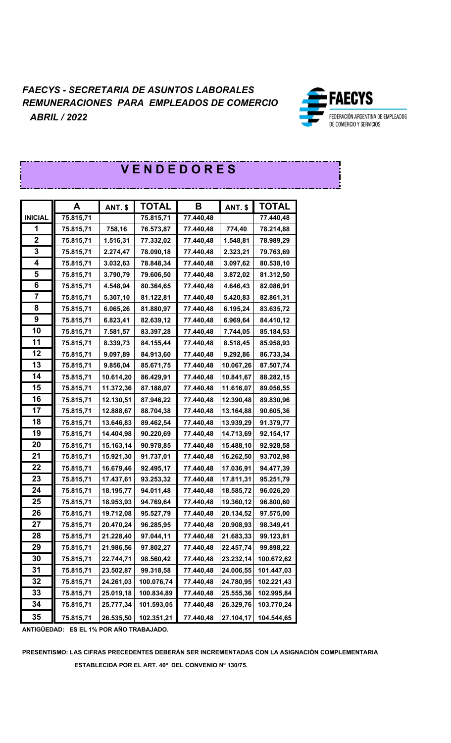

| <b>VENDEDORES</b> |           |                |              |           |                |              |
|-------------------|-----------|----------------|--------------|-----------|----------------|--------------|
|                   |           |                |              |           |                |              |
|                   | A         | <b>ANT. \$</b> | <b>TOTAL</b> | B         | <b>ANT. \$</b> | <b>TOTAL</b> |
| <b>INICIAL</b>    | 75.815,71 |                | 75.815,71    | 77.440,48 |                | 77.440,48    |
| 1                 | 75.815,71 | 758,16         | 76.573,87    | 77.440,48 | 774,40         | 78.214,88    |
| $\mathbf 2$       | 75.815,71 | 1.516,31       | 77.332,02    | 77.440,48 | 1.548,81       | 78.989,29    |
| 3                 | 75.815,71 | 2.274,47       | 78.090,18    | 77.440,48 | 2.323,21       | 79.763,69    |
| 4                 | 75.815,71 | 3.032,63       | 78.848,34    | 77.440,48 | 3.097,62       | 80.538,10    |
| 5                 | 75.815,71 | 3.790,79       | 79.606,50    | 77.440,48 | 3.872,02       | 81.312,50    |
| 6                 | 75.815,71 | 4.548,94       | 80.364,65    | 77.440,48 | 4.646,43       | 82.086,91    |
| 7                 | 75.815,71 | 5.307,10       | 81.122,81    | 77.440,48 | 5.420,83       | 82.861,31    |
| 8                 | 75.815,71 | 6.065,26       | 81.880,97    | 77.440,48 | 6.195,24       | 83.635,72    |
| 9                 | 75.815,71 | 6.823,41       | 82.639,12    | 77.440,48 | 6.969,64       | 84.410,12    |
| 10                | 75.815,71 | 7.581,57       | 83.397,28    | 77.440,48 | 7.744,05       | 85.184,53    |
| 11                | 75.815,71 | 8.339,73       | 84.155,44    | 77.440,48 | 8.518,45       | 85.958,93    |
| 12                | 75.815,71 | 9.097,89       | 84.913,60    | 77.440,48 | 9.292,86       | 86.733,34    |
| 13                | 75.815,71 | 9.856,04       | 85.671,75    | 77.440,48 | 10.067,26      | 87.507,74    |
| 14                | 75.815,71 | 10.614,20      | 86.429,91    | 77.440,48 | 10.841,67      | 88.282,15    |
| 15                | 75.815,71 | 11.372,36      | 87.188,07    | 77.440,48 | 11.616,07      | 89.056,55    |
| 16                | 75.815,71 | 12.130,51      | 87.946,22    | 77.440,48 | 12.390,48      | 89.830,96    |
| 17                | 75.815,71 | 12.888,67      | 88.704,38    | 77.440,48 | 13.164,88      | 90.605,36    |
| 18                | 75.815,71 | 13.646,83      | 89.462,54    | 77.440,48 | 13.939,29      | 91.379,77    |
| 19                | 75.815,71 | 14.404,98      | 90.220,69    | 77.440,48 | 14.713,69      | 92.154,17    |
| 20                | 75.815,71 | 15.163,14      | 90.978,85    | 77.440,48 | 15.488,10      | 92.928,58    |
| 21                | 75.815,71 | 15.921,30      | 91.737,01    | 77.440,48 | 16.262,50      | 93.702,98    |
| 22                | 75.815,71 | 16.679,46      | 92.495,17    | 77.440,48 | 17.036,91      | 94.477,39    |
| 23                | 75.815,71 | 17.437,61      | 93.253,32    | 77.440,48 | 17.811,31      | 95.251,79    |
| 24                | 75.815,71 | 18.195,77      | 94.011,48    | 77.440,48 | 18.585,72      | 96.026,20    |
| 25                | 75.815,71 | 18.953,93      | 94.769,64    | 77.440,48 | 19.360,12      | 96.800,60    |
| 26                | 75.815,71 | 19.712,08      | 95.527,79    | 77.440,48 | 20.134,52      | 97.575,00    |
| 27                | 75.815,71 | 20.470,24      | 96.285,95    | 77.440,48 | 20.908,93      | 98.349,41    |
| 28                | 75.815,71 | 21.228,40      | 97.044,11    | 77.440,48 | 21.683,33      | 99.123,81    |
| 29                | 75.815,71 | 21.986,56      | 97.802,27    | 77.440,48 | 22.457,74      | 99.898,22    |
| 30                | 75.815,71 | 22.744,71      | 98.560,42    | 77.440,48 | 23.232,14      | 100.672,62   |
| 31                | 75.815,71 | 23.502,87      | 99.318,58    | 77.440,48 | 24.006,55      | 101.447,03   |
| 32                | 75.815,71 | 24.261,03      | 100.076,74   | 77.440,48 | 24.780,95      | 102.221,43   |
| 33                | 75.815,71 | 25.019,18      | 100.834,89   | 77.440,48 | 25.555,36      | 102.995,84   |
| 34                | 75.815,71 | 25.777,34      | 101.593,05   | 77.440,48 | 26.329,76      | 103.770,24   |
| 35                | 75.815,71 | 26.535,50      | 102.351,21   | 77.440,48 | 27.104,17      | 104.544,65   |

**ANTIGÜEDAD: ES EL 1% POR AÑO TRABAJADO.**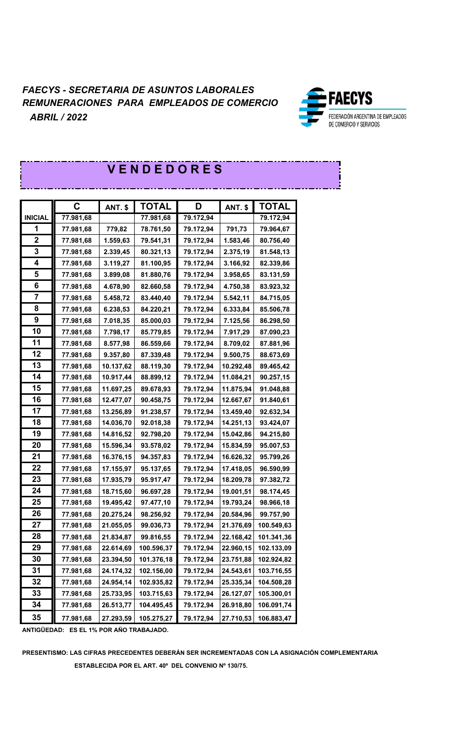

]<br>|

| <b>VENDEDORES</b>       |             |                |              |           |                |              |
|-------------------------|-------------|----------------|--------------|-----------|----------------|--------------|
|                         |             |                |              |           |                |              |
|                         | $\mathbf C$ | <b>ANT. \$</b> | <b>TOTAL</b> | D         | <b>ANT. \$</b> | <b>TOTAL</b> |
| <b>INICIAL</b>          | 77.981,68   |                | 77.981,68    | 79.172,94 |                | 79.172,94    |
| 1                       | 77.981,68   | 779,82         | 78.761,50    | 79.172,94 | 791,73         | 79.964,67    |
| $\boldsymbol{2}$        | 77.981,68   | 1.559,63       | 79.541,31    | 79.172,94 | 1.583,46       | 80.756,40    |
| $\mathbf 3$             | 77.981,68   | 2.339,45       | 80.321,13    | 79.172,94 | 2.375,19       | 81.548,13    |
| 4                       | 77.981,68   | 3.119,27       | 81.100,95    | 79.172,94 | 3.166,92       | 82.339,86    |
| 5                       | 77.981,68   | 3.899,08       | 81.880,76    | 79.172,94 | 3.958,65       | 83.131,59    |
| 6                       | 77.981,68   | 4.678,90       | 82.660,58    | 79.172,94 | 4.750,38       | 83.923,32    |
| $\overline{\mathbf{7}}$ | 77.981,68   | 5.458,72       | 83.440,40    | 79.172,94 | 5.542,11       | 84.715,05    |
| 8                       | 77.981,68   | 6.238,53       | 84.220,21    | 79.172,94 | 6.333,84       | 85.506,78    |
| 9                       | 77.981,68   | 7.018,35       | 85.000,03    | 79.172,94 | 7.125,56       | 86.298,50    |
| 10                      | 77.981,68   | 7.798,17       | 85.779,85    | 79.172,94 | 7.917,29       | 87.090,23    |
| 11                      | 77.981,68   | 8.577,98       | 86.559,66    | 79.172,94 | 8.709,02       | 87.881,96    |
| 12                      | 77.981,68   | 9.357,80       | 87.339,48    | 79.172,94 | 9.500,75       | 88.673,69    |
| 13                      | 77.981,68   | 10.137,62      | 88.119,30    | 79.172,94 | 10.292,48      | 89.465,42    |
| 14                      | 77.981,68   | 10.917,44      | 88.899,12    | 79.172,94 | 11.084,21      | 90.257,15    |
| 15                      | 77.981,68   | 11.697,25      | 89.678,93    | 79.172,94 | 11.875,94      | 91.048,88    |
| 16                      | 77.981,68   | 12.477,07      | 90.458,75    | 79.172,94 | 12.667,67      | 91.840,61    |
| 17                      | 77.981,68   | 13.256,89      | 91.238,57    | 79.172,94 | 13.459,40      | 92.632,34    |
| 18                      | 77.981,68   | 14.036,70      | 92.018,38    | 79.172,94 | 14.251,13      | 93.424,07    |
| 19                      | 77.981,68   | 14.816,52      | 92.798,20    | 79.172,94 | 15.042,86      | 94.215,80    |
| 20                      | 77.981,68   | 15.596,34      | 93.578,02    | 79.172,94 | 15.834,59      | 95.007,53    |
| 21                      | 77.981,68   | 16.376,15      | 94.357,83    | 79.172,94 | 16.626,32      | 95.799,26    |
| 22                      | 77.981,68   | 17.155,97      | 95.137,65    | 79.172,94 | 17.418,05      | 96.590,99    |
| 23                      | 77.981,68   | 17.935,79      | 95.917,47    | 79.172,94 | 18.209,78      | 97.382,72    |
| 24                      | 77.981,68   | 18.715,60      | 96.697,28    | 79.172,94 | 19.001,51      | 98.174,45    |
| 25                      | 77.981,68   | 19.495,42      | 97.477,10    | 79.172,94 | 19.793,24      | 98.966,18    |
| 26                      | 77.981,68   | 20.275,24      | 98.256,92    | 79.172,94 | 20.584,96      | 99.757,90    |
| 27                      | 77.981,68   | 21.055,05      | 99.036,73    | 79.172,94 | 21.376,69      | 100.549,63   |
| 28                      | 77.981,68   | 21.834,87      | 99.816,55    | 79.172,94 | 22.168,42      | 101.341,36   |
| 29                      | 77.981,68   | 22.614,69      | 100.596,37   | 79.172,94 | 22.960,15      | 102.133,09   |
| 30                      | 77.981,68   | 23.394,50      | 101.376,18   | 79.172,94 | 23.751,88      | 102.924,82   |
| 31                      | 77.981,68   | 24.174,32      | 102.156,00   | 79.172,94 | 24.543,61      | 103.716,55   |
| 32                      | 77.981,68   | 24.954,14      | 102.935,82   | 79.172,94 | 25.335,34      | 104.508,28   |
| 33                      | 77.981,68   | 25.733,95      | 103.715,63   | 79.172,94 | 26.127,07      | 105.300,01   |
| 34                      | 77.981,68   | 26.513,77      | 104.495,45   | 79.172,94 | 26.918,80      | 106.091,74   |
| 35                      | 77.981,68   | 27.293,59      | 105.275,27   | 79.172,94 | 27.710,53      | 106.883,47   |

**ANTIGÜEDAD: ES EL 1% POR AÑO TRABAJADO.**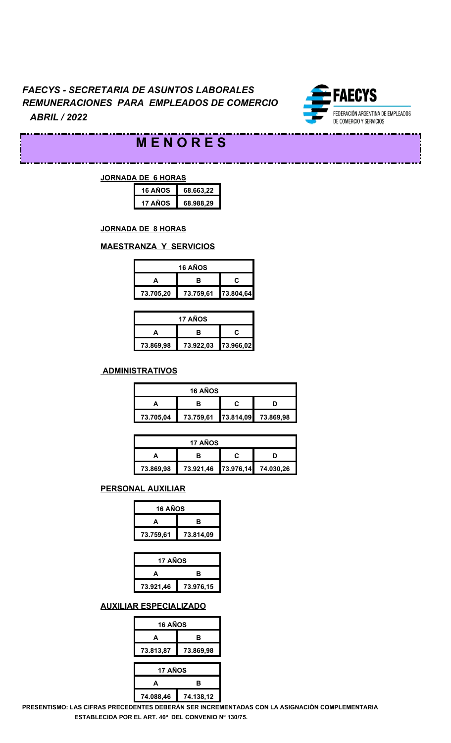

. . . .

# **M E N O R E S**

. . . .

#### **JORNADA DE 6 HORAS**

. . . .

\_\_\_\_\_\_\_\_\_\_\_\_\_\_

| 16 AÑOS | 68.663,22 |
|---------|-----------|
| 17 AÑOS | 68.988.29 |

#### **JORNADA DE 8 HORAS**

#### **MAESTRANZA Y SERVICIOS**

| 16 AÑOS                             |  |  |  |  |  |
|-------------------------------------|--|--|--|--|--|
| r.<br>в                             |  |  |  |  |  |
| 73.759,61<br>73.705,20<br>73.804,64 |  |  |  |  |  |

| 17 AÑOS   |                     |  |  |  |  |  |
|-----------|---------------------|--|--|--|--|--|
|           | r.<br>R             |  |  |  |  |  |
| 73.869,98 | 73.922,03 73.966,02 |  |  |  |  |  |

#### **ADMINISTRATIVOS**

| <b>16 AÑOS</b>                             |  |  |  |  |  |  |  |
|--------------------------------------------|--|--|--|--|--|--|--|
|                                            |  |  |  |  |  |  |  |
| 73.759,61 73.814,09 73.869,98<br>73.705,04 |  |  |  |  |  |  |  |

| <b>17 AÑOS</b>                             |  |  |  |  |  |  |  |
|--------------------------------------------|--|--|--|--|--|--|--|
|                                            |  |  |  |  |  |  |  |
| 73.921,46 73.976,14 74.030,26<br>73.869,98 |  |  |  |  |  |  |  |

#### **PERSONAL AUXILIAR**

| 16 AÑOS   |           |  |
|-----------|-----------|--|
| А         | в         |  |
| 73.759,61 | 73.814,09 |  |

| 17 AÑOS   |           |  |
|-----------|-----------|--|
| A         | в         |  |
| 73.921,46 | 73.976,15 |  |

#### **AUXILIAR ESPECIALIZADO**

| <b>16 AÑOS</b> |           |  |  |  |
|----------------|-----------|--|--|--|
| A              | в         |  |  |  |
| 73.813,87      | 73.869,98 |  |  |  |
| 17 AÑOS        |           |  |  |  |
| A              | в         |  |  |  |
| 74.088,46      | 74.138,12 |  |  |  |